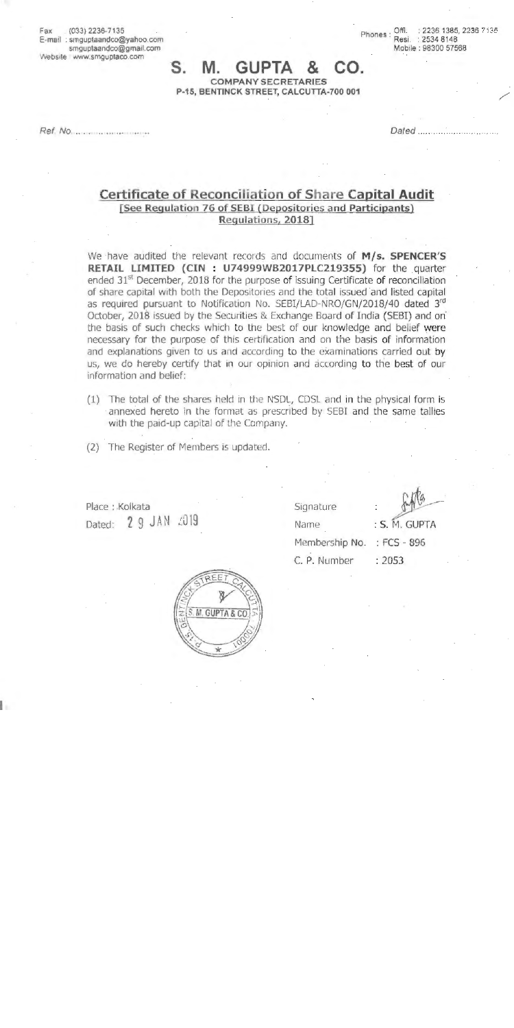Fax (033)2236-7135 E-mail ; smguptaandco@yahoo.com smguptaandco@gmail.com Website www.smguptaco.com

Phones: Offi. : 2236 1385, 2236 7135 Resi. : 2534 8148 Mobile : 98300 57568

/

## s. **M. GUPTA** & co. **COMPANY SECRETARIES P-15,** BENTINCK STREET, CALCUTTA-700 001

Ref. No ....... ........... .

Dated ...

## **Certificate of Reconciliation of Share Capital Audit [See Regulation 76 of SEBI (Depositories and Participants}**  · **Regulations, 2018]**

We have audited the relevant records and documents of M/s. SPENCER'S **RETAIL LIMITED (CIN : U74999WB2017PLC219355)** for the quarter ended  $31<sup>st</sup>$  December, 2018 for the purpose of issuing Certificate of reconciliation of share capital with both the Depositories and the total issued and listed capital as required pursuant to Notification No. SEBI/LAD-NRO/GN/2018/40 dated 3rd October, **2018** issued by the Securities & Exchange Board of India (SEBI) and on· the basis of such checks which to the best of our knowledge and belief were necessary for the purpose of this certification and on the basis of information and explanations given to us and according to the examinations carried out by us, we do hereby certify that in our opinion and according to the best of our information and belief:

- (1) The total of the shares held in the NSDL, CDSL and in the physical form is annexed hereto in the format as prescribed by SEBI and the same tallies with the paid-up capital of the Company.
- (2) The Register of Members is updated.

Place : .Kolkata Dated: 2 9 JAN 2019

I



Signature Name Membership No. : FCS - 896 C. P. Number : 2053

: S. M. GUPTA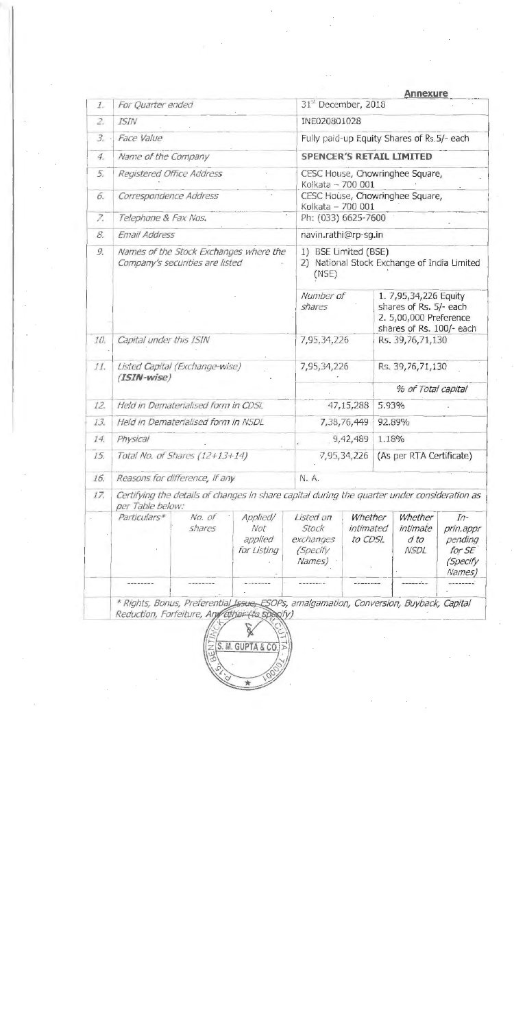| $I_{-}$        | For Quarter ended                                                                                                |                  |                                           |                                                                                                                    |                                                    |                  |                                            |                                                               |  |
|----------------|------------------------------------------------------------------------------------------------------------------|------------------|-------------------------------------------|--------------------------------------------------------------------------------------------------------------------|----------------------------------------------------|------------------|--------------------------------------------|---------------------------------------------------------------|--|
|                |                                                                                                                  |                  |                                           |                                                                                                                    | <b>Annexure</b><br>31 <sup>st</sup> December, 2018 |                  |                                            |                                                               |  |
| 2.             | <b>ISIN</b>                                                                                                      | INE020801028     |                                           |                                                                                                                    |                                                    |                  |                                            |                                                               |  |
| $\mathfrak{Z}$ | Face Value                                                                                                       |                  |                                           | Fully paid-up Equity Shares of Rs.5/- each                                                                         |                                                    |                  |                                            |                                                               |  |
| 4.             | Name of the Company                                                                                              |                  |                                           | <b>SPENCER'S RETAIL LIMITED</b>                                                                                    |                                                    |                  |                                            |                                                               |  |
| 5.             | Registered Office Address                                                                                        |                  |                                           | CESC House, Chowringhee Square,<br>Kolkata - 700 001                                                               |                                                    |                  |                                            |                                                               |  |
| 6.             | Correspondence Address                                                                                           |                  |                                           | CESC House, Chowringhee Square,<br>Kolkata - 700 001                                                               |                                                    |                  |                                            |                                                               |  |
| 7.             | Telephone & Fax Nos.                                                                                             |                  |                                           | Ph: (033) 6625-7600                                                                                                |                                                    |                  |                                            |                                                               |  |
| 8.             | Email Address                                                                                                    |                  |                                           |                                                                                                                    | navin.rathi@rp-sg.in                               |                  |                                            |                                                               |  |
| 9.             | Names of the Stock Exchanges where the<br>Company's securities are listed                                        |                  |                                           | 1) BSE Limited (BSE)<br>2) National Stock Exchange of India Limited<br>(MSE)<br>Number of<br>1. 7,95,34,226 Equity |                                                    |                  |                                            |                                                               |  |
|                |                                                                                                                  | shares           |                                           | shares of Rs. 5/- each<br>2. 5,00,000 Preference<br>shares of Rs. 100/- each                                       |                                                    |                  |                                            |                                                               |  |
| 10.            | Capital under this ISIN                                                                                          |                  | 7,95,34,226                               |                                                                                                                    | Rs. 39,76,71,130                                   |                  |                                            |                                                               |  |
| 11.            | Listed Capital (Exchange-wise)<br>$(ISIN-wise)$                                                                  |                  |                                           | 7,95,34,226                                                                                                        |                                                    | Rs. 39,76,71,130 |                                            |                                                               |  |
|                |                                                                                                                  |                  |                                           |                                                                                                                    | % of Total capital                                 |                  |                                            |                                                               |  |
| 12.            | Held in Dematerialised form in CDSL                                                                              |                  |                                           | 47,15,288                                                                                                          |                                                    | 5.93%            |                                            |                                                               |  |
| 13.            | Held in Dematerialised form in NSDL                                                                              |                  |                                           | 7,38,76,449                                                                                                        |                                                    |                  | 92.89%                                     |                                                               |  |
| 14.            | Physical                                                                                                         |                  |                                           | 9,42,489                                                                                                           |                                                    | 1.18%            |                                            |                                                               |  |
| 15.            | Total No. of Shares (12+13+14)                                                                                   |                  |                                           |                                                                                                                    | 7,95,34,226                                        |                  | (As per RTA Certificate)                   |                                                               |  |
| 16.            | Reasons for difference, if any                                                                                   |                  |                                           | N. A.                                                                                                              |                                                    |                  |                                            |                                                               |  |
| 17.            | Certifying the details of changes in share capital during the quarter under consideration as<br>per Table below: |                  |                                           |                                                                                                                    |                                                    |                  |                                            |                                                               |  |
|                | Particulars*                                                                                                     | No. of<br>shares | Applied/<br>Not<br>applied<br>for Listing | Listed on<br>Stock<br>exchanges<br><i>(Specify</i><br>Names)                                                       | Whether<br>intimated<br>to CDSL                    |                  | Whether<br>intimate<br>d to<br><b>NSDL</b> | $In-$<br>prin.appr<br>pending<br>for SE<br>(Specify<br>Names) |  |
|                |                                                                                                                  |                  |                                           |                                                                                                                    |                                                    |                  | ------                                     | --------                                                      |  |

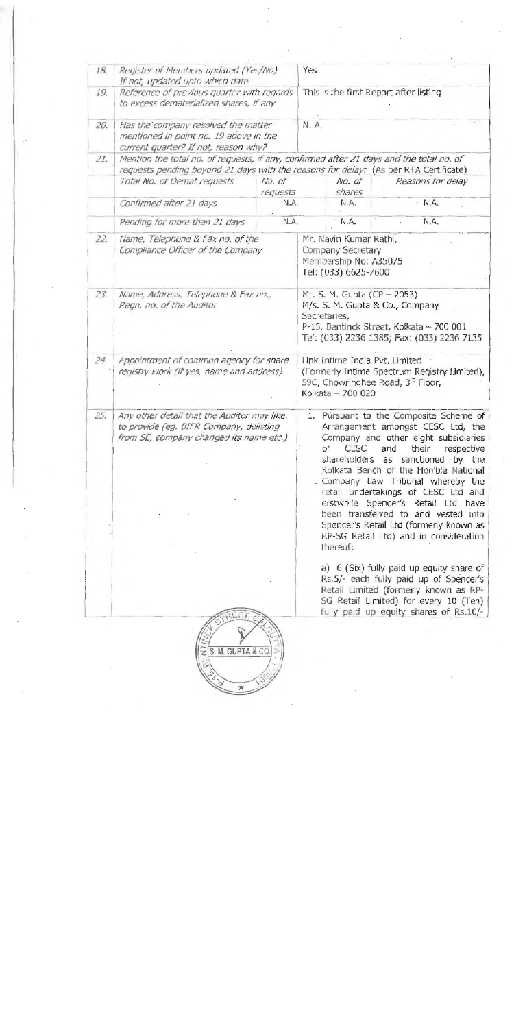| 18. | Register of Members updated (Yes/No)<br>If not, updated upto which date                                                           | Yes                                                                                                                                                                      |                                                                                                                                                                                                                                                                                                                                                                                                                                                                                                        |                |              |  |  |  |  |  |
|-----|-----------------------------------------------------------------------------------------------------------------------------------|--------------------------------------------------------------------------------------------------------------------------------------------------------------------------|--------------------------------------------------------------------------------------------------------------------------------------------------------------------------------------------------------------------------------------------------------------------------------------------------------------------------------------------------------------------------------------------------------------------------------------------------------------------------------------------------------|----------------|--------------|--|--|--|--|--|
| 19. | Reference of previous quarter with regards<br>to excess dematerialized shares, if any                                             | This is the first Report after listing                                                                                                                                   |                                                                                                                                                                                                                                                                                                                                                                                                                                                                                                        |                |              |  |  |  |  |  |
| 20. | Has the company resolved the matter<br>mentioned in point no. 19 above in the<br>current quarter? If not, reason why?             | N. A.                                                                                                                                                                    |                                                                                                                                                                                                                                                                                                                                                                                                                                                                                                        |                |              |  |  |  |  |  |
| 21. | Mention the total no. of requests, if any, confirmed after 21 days and the total no. of                                           |                                                                                                                                                                          |                                                                                                                                                                                                                                                                                                                                                                                                                                                                                                        |                |              |  |  |  |  |  |
|     | Total No. of Demat requests                                                                                                       | No. of                                                                                                                                                                   | requests pending beyond 21 days with the reasons for delay: (As per RTA Certificate)<br>No. of<br>Reasons for delay                                                                                                                                                                                                                                                                                                                                                                                    |                |              |  |  |  |  |  |
|     | Confirmed after 21 days                                                                                                           | requests<br>N.A.                                                                                                                                                         |                                                                                                                                                                                                                                                                                                                                                                                                                                                                                                        | shares<br>N.A. | $\cdot$ N.A. |  |  |  |  |  |
|     | Pending for more than 21 days                                                                                                     | N.A.                                                                                                                                                                     |                                                                                                                                                                                                                                                                                                                                                                                                                                                                                                        | N.A.           | N.A.         |  |  |  |  |  |
| 22. | Name, Telephone & Fax no. of the<br>Compliance Officer of the Company                                                             | Mr. Navin Kumar Rathi,<br>Company Secretary<br>Membership No: A35075<br>Tel: (033) 6625-7600                                                                             |                                                                                                                                                                                                                                                                                                                                                                                                                                                                                                        |                |              |  |  |  |  |  |
| 23. | Name, Address, Telephone & Fax no.,<br>Regn. no. of the Auditor                                                                   | Mr. S. M. Gupta (CP - 2053)<br>M/s. S. M. Gupta & Co., Company<br>Secretaries,<br>P-15, Bentinck Street, Kolkata - 700 001<br>Tel: (033) 2236 1385; Fax: (033) 2236 7135 |                                                                                                                                                                                                                                                                                                                                                                                                                                                                                                        |                |              |  |  |  |  |  |
| 24. | Appointment of common agency for share<br>registry work (if yes, name and address)                                                | Link Intime India Pvt. Limited<br>(Formerly Intime Spectrum Registry Limited),<br>59C, Chowringhee Road, 3rd Floor,<br>Kolkata - 700 020                                 |                                                                                                                                                                                                                                                                                                                                                                                                                                                                                                        |                |              |  |  |  |  |  |
| 25. | Any other detail that the Auditor may like.<br>to provide (eg. BIFR Company, delisting<br>from SE, company changed its name etc.) |                                                                                                                                                                          | 1. Pursuant to the Composite Scheme of<br>Arrangement amongst CESC Ltd, the<br>Company and other eight subsidiaries<br>CESC and<br>their<br>of<br>respective<br>shareholders as sanctioned by the<br>Kolkata Bench of the Hon'ble National<br>. Company Law Tribunal whereby the<br>retail undertakings of CESC Ltd and<br>erstwhile Spencer's Retail Ltd have<br>been transferred to and vested into<br>Spencer's Retail Ltd (formerly known as<br>RP-SG Retail Ltd) and in consideration<br>thereof: |                |              |  |  |  |  |  |
|     |                                                                                                                                   |                                                                                                                                                                          | a) 6 (Six) fully paid up equity share of<br>Rs.5/- each fully paid up of Spencer's<br>Retail Limited (formerly known as RP-<br>SG Retail Limited) for every 10 (Ten)<br>fully paid up equity shares of Rs.10/-                                                                                                                                                                                                                                                                                         |                |              |  |  |  |  |  |